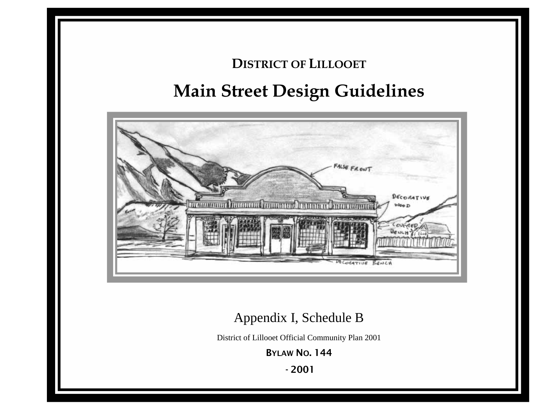# **DISTRICT OF LILLOOET Main Street Design Guidelines**



## Appendix I, Schedule B

District of Lillooet Official Community Plan 2001

BYLAW NO. 144

- 2001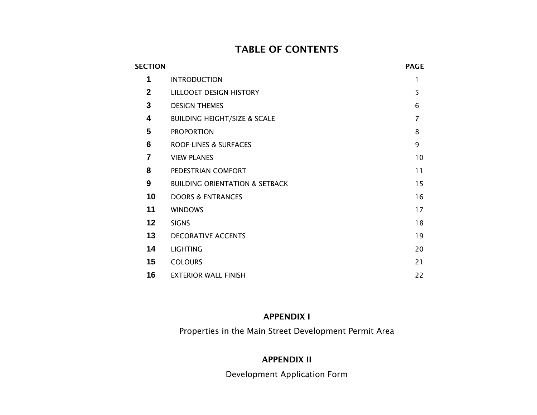### TABLE OF CONTENTS

| <b>SECTION</b>  |                                           | <b>PAGE</b>    |
|-----------------|-------------------------------------------|----------------|
| 1               | <b>INTRODUCTION</b>                       | 1              |
| $\overline{2}$  | LILLOOET DESIGN HISTORY                   | 5              |
| 3               | <b>DESIGN THEMES</b>                      | 6              |
| 4               | <b>BUILDING HEIGHT/SIZE &amp; SCALE</b>   | $\overline{7}$ |
| 5               | <b>PROPORTION</b>                         | 8              |
| 6               | <b>ROOF-LINES &amp; SURFACES</b>          | 9              |
| 7               | <b>VIEW PLANES</b>                        | 10             |
| 8               | PEDESTRIAN COMFORT                        | 11             |
| 9               | <b>BUILDING ORIENTATION &amp; SETBACK</b> | 15             |
| 10              | <b>DOORS &amp; ENTRANCES</b>              | 16             |
| 11              | <b>WINDOWS</b>                            | 17             |
| 12 <sub>2</sub> | <b>SIGNS</b>                              | 18             |
| 13              | <b>DECORATIVE ACCENTS</b>                 | 19             |
| 14              | <b>LIGHTING</b>                           | 20             |
| 15              | <b>COLOURS</b>                            | 21             |
| 16              | <b>EXTERIOR WALL FINISH</b>               | 22             |

#### APPENDIX I

Properties in the Main Street Development Permit Area

### APPENDIX II

Development Application Form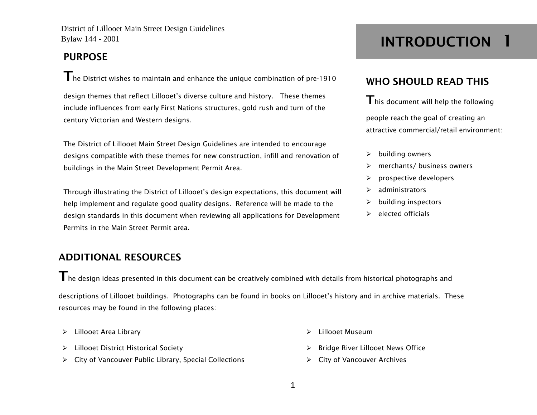### PURPOSE

The District wishes to maintain and enhance the unique combination of pre-1910

design themes that reflect Lillooet's diverse culture and history. These themes include influences from early First Nations structures, gold rush and turn of the century Victorian and Western designs.

The District of Lillooet Main Street Design Guidelines are intended to encourage designs compatible with these themes for new construction, infill and renovation of buildings in the Main Street Development Permit Area.

Through illustrating the District of Lillooet's design expectations, this document will help implement and regulate good quality designs. Reference will be made to the design standards in this document when reviewing all applications for Development Permits in the Main Street Permit area.

### ADDITIONAL RESOURCES

 $\mathsf T$ he desian ideas presented in this document can be creatively combined with details from historical photographs and descriptions of Lillooet buildings. Photographs can be found in books on Lillooet's history and in archive materials. These resources may be found in the following places:

- ¾Lillooet Area Library ¾ Lillooet Museum
- ¾ Lillooet District Historical Society ¾ Bridge River Lillooet News Office
- ¾ City of Vancouver Public Library, Special Collections ¾ City of Vancouver Archives

INTRODUCTION 1

### WHO SHOULD READ THIS

 $\mathsf{T}$ his document will help the following people reach the goal of creating an attractive commercial/retail environment:

- $\blacktriangleright$ building owners
- $\blacktriangleright$ merchants/ business owners
- ¾prospective developers
- ¾administrators
- ¾building inspectors
- $\triangleright$  elected officials

- 
- 
- 
- 1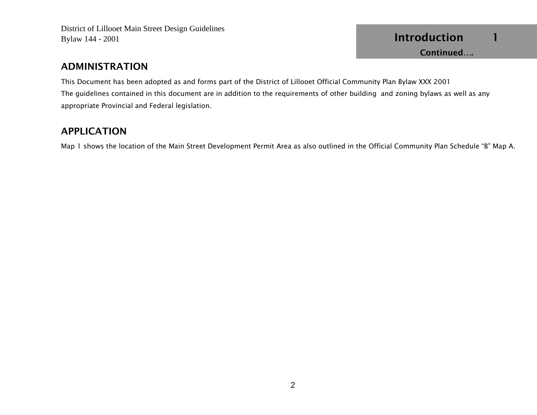### ADMINISTRATION

This Document has been adopted as and forms part of the District of Lillooet Official Community Plan Bylaw XXX 2001 The guidelines contained in this document are in addition to the requirements of other building and zoning bylaws as well as any appropriate Provincial and Federal legislation.

### APPLICATION

Map 1 shows the location of the Main Street Development Permit Area as also outlined in the Official Community Plan Schedule "B" Map A.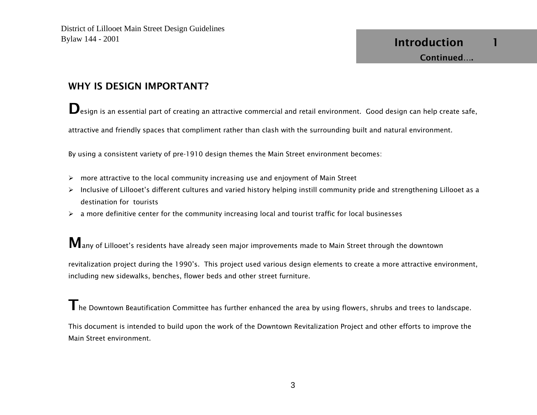### WHY IS DESIGN IMPORTANT?

Design is an essential part of creating an attractive commercial and retail environment. Good design can help create safe,

attractive and friendly spaces that compliment rather than clash with the surrounding built and natural environment.

By using a consistent variety of pre-1910 design themes the Main Street environment becomes:

- $\triangleright$  more attractive to the local community increasing use and enjoyment of Main Street
- ¾ Inclusive of Lillooet's different cultures and varied history helping instill community pride and strengthening Lillooet as a destination for tourists
- $\triangleright$  a more definitive center for the community increasing local and tourist traffic for local businesses

Many of Lillooet's residents have already seen major improvements made to Main Street through the downtown

revitalization project during the 1990's. This project used various design elements to create a more attractive environment, including new sidewalks, benches, flower beds and other street furniture.

 $\mathsf T$ he Downtown Beautification Committee has further enhanced the area by using flowers, shrubs and trees to landscape. This document is intended to build upon the work of the Downtown Revitalization Project and other efforts to improve the Main Street environment.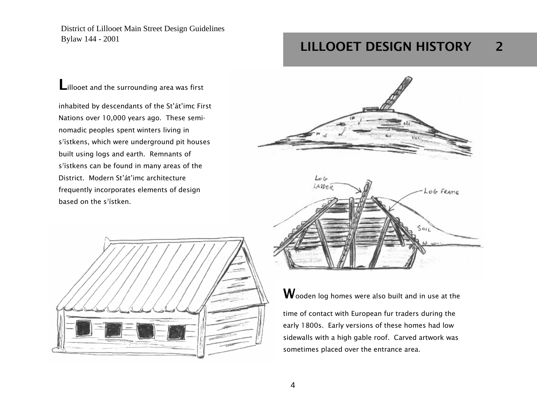**L**illooet and the surrounding area was first

inhabited by descendants of the St'át'imc First Nations over 10,000 years ago. These seminomadic peoples spent winters living in s<sup>7</sup>ístkens, which were underground pit houses built using logs and earth. Remnants of s<sup>7</sup>ístkens can be found in many areas of the District. Modern St'át'imc architecture frequently incorporates elements of design based on the s<sup>7</sup>ístken.



## LILLOOET DESIGN HISTORY 2





 $\mathbf W$ ooden log homes were also built and in use at the

time of contact with European fur traders during the early 1800s. Early versions of these homes had low sidewalls with a high gable roof. Carved artwork was sometimes placed over the entrance area.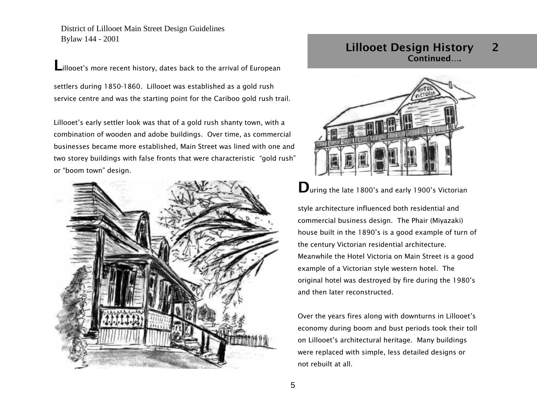Lillooet's more recent history, dates back to the arrival of European

settlers during 1850-1860. Lillooet was established as a gold rush service centre and was the starting point for the Cariboo gold rush trail.

Lillooet's early settler look was that of a gold rush shanty town, with a combination of wooden and adobe buildings. Over time, as commercial businesses became more established, Main Street was lined with one and two storey buildings with false fronts that were characteristic "gold rush" or "boom town" design.



### Lillooet Design History 2 Continued….



Uuring the late 1800's and early 1900's Victorian

style architecture influenced both residential and commercial business design. The Phair (Miyazaki) house built in the 1890's is a good example of turn of the century Victorian residential architecture. Meanwhile the Hotel Victoria on Main Street is a good example of a Victorian style western hotel. The original hotel was destroyed by fire during the 1980's and then later reconstructed.

Over the years fires along with downturns in Lillooet's economy during boom and bust periods took their toll on Lillooet's architectural heritage. Many buildings were replaced with simple, less detailed designs or not rebuilt at all.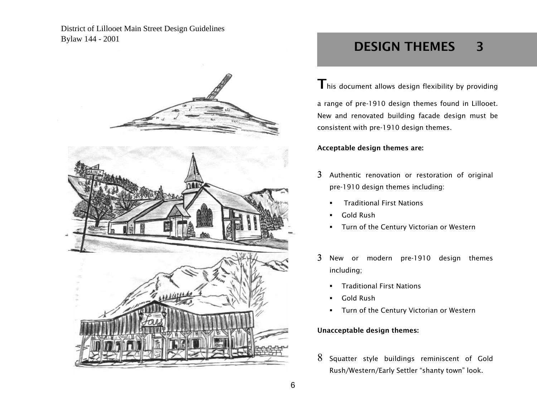District of Lillooet Main Street Design Guidelines Bylaw 144 - 2001



## DESIGN THEMES 3

 $\mathsf{T}$  his document allows design flexibility by providing

a range of pre-1910 design themes found in Lillooet. New and renovated building facade design must be consistent with pre-1910 design themes.

Acceptable design themes are:

- $3$  Authentic renovation or restoration of original pre-1910 design themes including:
	- Traditional First Nations
	- г Gold Rush
	- $\blacksquare$ Turn of the Century Victorian or Western
- 3 New or modern pre-1910 design themes including;
	- г Traditional First Nations
	- $\blacksquare$ Gold Rush
	- **Turn of the Century Victorian or Western**

#### Unacceptable design themes:

 $8\,$  Squatter style buildings reminiscent of Gold Rush/Western/Early Settler "shanty town" look.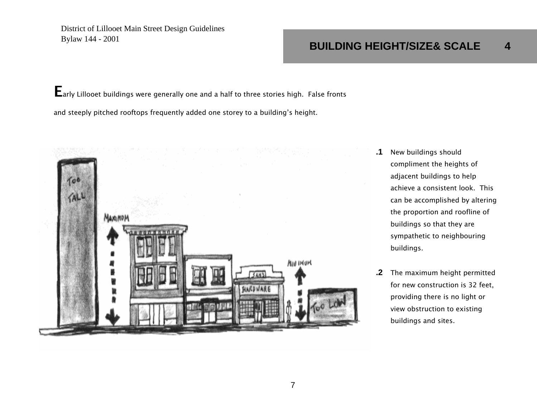## **BUILDING HEIGHT/SIZE& SCALE 4**

Early Lillooet buildings were generally one and a half to three stories high. False fronts and steeply pitched rooftops frequently added one storey to a building's height.



- **.1** New buildings should compliment the heights of adjacent buildings to help achieve a consistent look. This can be accomplished by altering the proportion and roofline of buildings so that they are sympathetic to neighbouring buildings.
- **.2** The maximum height permitted for new construction is 32 feet, providing there is no light or view obstruction to existing buildings and sites.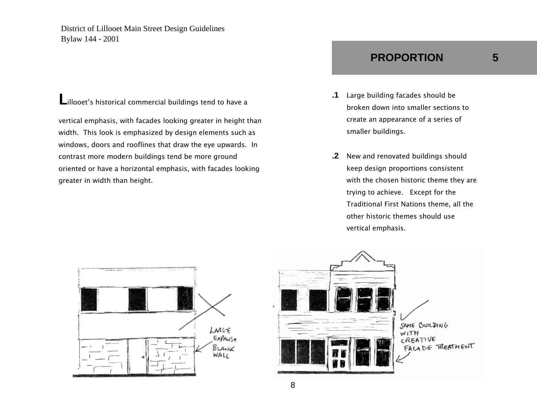Lillooet's historical commercial buildings tend to have a

vertical emphasis, with facades looking greater in height than width. This look is emphasized by design elements such as windows, doors and rooflines that draw the eye upwards. In contrast more modern buildings tend be more ground oriented or have a horizontal emphasis, with facades looking greater in width than height.

### & SCALE BUILDING HEIGHT/SIZE **PROPORTION 5**

- 
- **.1** Large building facades should be broken down into smaller sections to create an appearance of a series of smaller buildings.
- **.2** New and renovated buildings should keep design proportions consistent with the chosen historic theme they are trying to achieve. Except for the Traditional First Nations theme, all the other historic themes should use vertical emphasis.





BUILDING HEIGHT/SIZE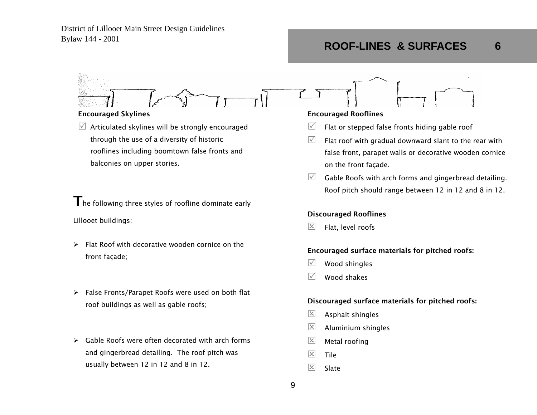#### Encouraged Skylines

 $\mathbb Z$  Articulated skylines will be strongly encouraged through the use of a diversity of historic rooflines including boomtown false fronts and balconies on upper stories.

Lillooet buildings:  $\mathsf T$  he following three styles of roofline dominate early

- ¾ Flat Roof with decorative wooden cornice on the front façade;
- ¾ False Fronts/Parapet Roofs were used on both flat roof buildings as well as gable roofs;
- $\triangleright$  Gable Roofs were often decorated with arch forms and gingerbread detailing. The roof pitch was usually between 12 in 12 and 8 in 12.

#### Encouraged Rooflines

- $\sqrt{}$ Flat or stepped false fronts hiding gable roof
- $\sqrt{ }$  Flat roof with gradual downward slant to the rear with false front, parapet walls or decorative wooden cornice on the front façade.
- $\boxtimes$  Gable Roofs with arch forms and gingerbread detailing. Roof pitch should range between 12 in 12 and 8 in 12.

## Discouraged Rooflines

 $\overline{\mathsf{x}}$ Flat, level roofs

#### Encouraged surface materials for pitched roofs:

- $\sqrt{ }$ Wood shingles
- $\sqrt{ }$ Wood shakes

#### Discouraged surface materials for pitched roofs:

- $\vert x \vert$ Asphalt shingles
- $\overline{\mathsf{x}}$ Aluminium shingles
- $|\mathsf{x}|$ Metal roofing
- $\overline{\mathsf{x}}$ **Tile**
- $\overline{\mathsf{x}}$ Slate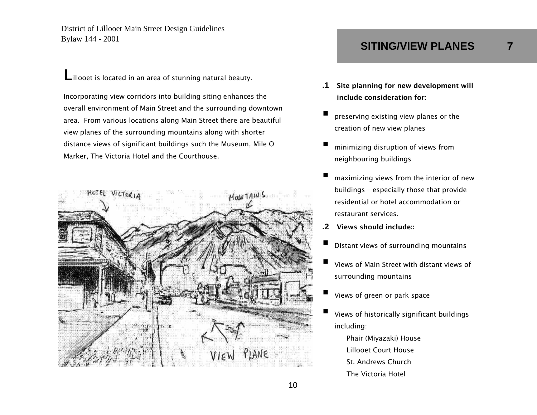Lillooet is located in an area of stunning natural beauty.

Incorporating view corridors into building siting enhances the overall environment of Main Street and the surrounding downtown area. From various locations along Main Street there are beautiful view planes of the surrounding mountains along with shorter distance views of significant buildings such the Museum, Mile O Marker, The Victoria Hotel and the Courthouse.



## **SITING/VIEW PLANES 7**

- **.1** Site planning for new development will include consideration for:
- ٠ preserving existing view planes or the creation of new view planes
- ٠ minimizing disruption of views from neighbouring buildings
- ٠ maximizing views from the interior of new buildings – especially those that provide residential or hotel accommodation or restaurant services.
- **.2** Views should include::
- ٠ Distant views of surrounding mountains
- ٠ Views of Main Street with distant views of surrounding mountains
- ٠ Views of green or park space
- ٠ Views of historically significant buildings including:
	- Phair (Miyazaki) House Lillooet Court House St. Andrews Church The Victoria Hotel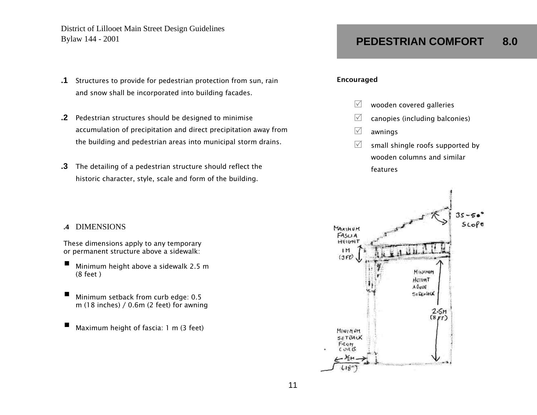- **.1** Structures to provide for pedestrian protection from sun, rain and snow shall be incorporated into building facades.
- **.2** Pedestrian structures should be designed to minimise accumulation of precipitation and direct precipitation away from the building and pedestrian areas into municipal storm drains.
- **.3** The detailing of a pedestrian structure should reflect the historic character, style, scale and form of the building.

#### **.4** DIMENSIONS

These dimensions apply to any temporary or permanent structure above a sidewalk:

- П Minimum height above a sidewalk 2.5 m (8 feet )
- П Minimum setback from curb edge: 0.5 m (18 inches) / 0.6m (2 feet) for awning
- П Maximum height of fascia: 1 m (3 feet)

#### Encouraged

- $\sqrt{ }$ wooden covered galleries
- $\sqrt{ }$ canopies (including balconies)
- $\sqrt{}$ awnings
- $\sqrt{ }$  small shingle roofs supported by wooden columns and similar features

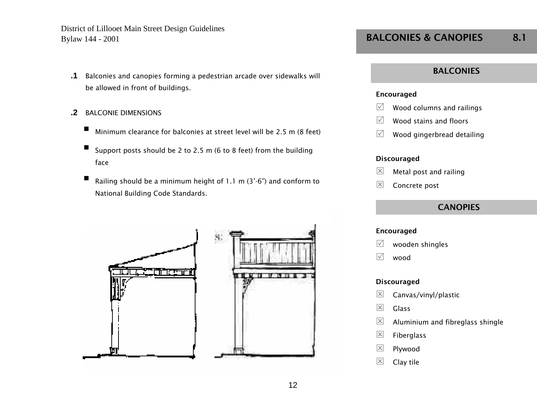- **.1** Balconies and canopies forming a pedestrian arcade over sidewalks will be allowed in front of buildings.
- **.2** BALCONIE DIMENSIONS
	- П Minimum clearance for balconies at street level will be 2.5 m (8 feet)
	- П Support posts should be 2 to 2.5 m (6 to 8 feet) from the building face
	- Railing should be a minimum height of 1.1 m (3'-6") and conform to National Building Code Standards.





### BALCONIES & CANOPIES 8.1

#### **BALCONIES**

#### Encouraged

- $\sqrt{ }$ Wood columns and railings
- $\sqrt{ }$ Wood stains and floors
- $\sqrt{ }$ Wood gingerbread detailing

#### Discouraged

- $\overline{\mathsf{x}}$ Metal post and railing
- $\overline{\mathsf{x}}$ Concrete post

### **CANOPIES**

#### Encouraged

 $\sqrt{ }$ wooden shingles

 $\sqrt{ }$ wood

- $\boxed{\times}$ Canvas/vinyl/plastic
- $\boxed{\times}$ Glass
- $\boxed{\times}$ Aluminium and fibreglass shingle
- $\boxed{\times}$ Fiberglass
- $\boxed{\times}$ Plywood
- $\overline{\mathsf{x}}$ Clay tile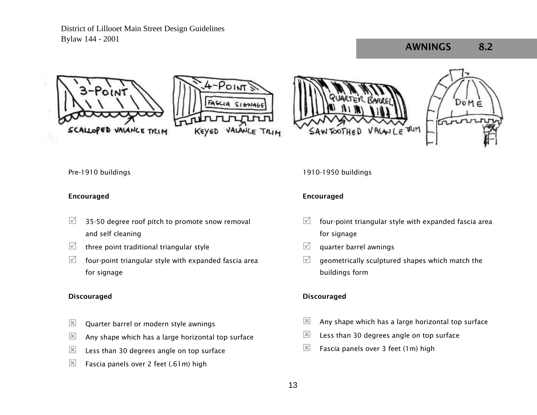### AWNINGS 8.2









Pre-1910 buildings

#### Encouraged

- $\sqrt{ }$  35-50 degree roof pitch to promote snow removal and self cleaning
- $\sqrt{ }$ three point traditional triangular style
- $\sqrt{}$  four-point triangular style with expanded fascia area for signage

#### **Discouraged**

- $\overline{\mathsf{x}}$ Quarter barrel or modern style awnings
- $\boxed{\times}$ Any shape which has a large horizontal top surface
- $\vert x \vert$ Less than 30 degrees angle on top surface
- $\vert x \vert$ Fascia panels over 2 feet (.61m) high

#### 1910-1950 buildings

#### Encouraged

- $\sqrt{ }$  four-point triangular style with expanded fascia area for signage
- $\sqrt{ }$ quarter barrel awnings
- $\sqrt{}$  geometrically sculptured shapes which match the buildings form

- $|\mathsf{x}|$ Any shape which has a large horizontal top surface
- $\boxed{\times}$ Less than 30 degrees angle on top surface
- $\vert x \vert$ Fascia panels over 3 feet (1m) high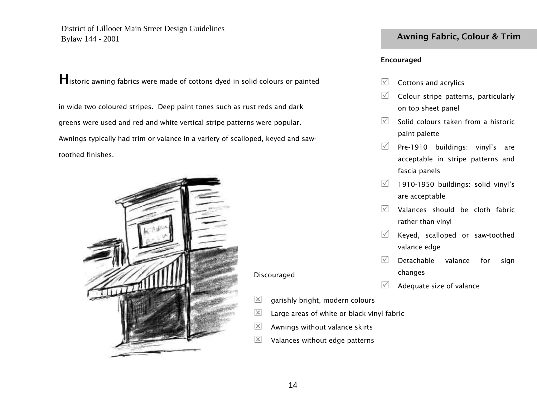Historic awning fabrics were made of cottons dyed in solid colours or painted

in wide two coloured stripes. Deep paint tones such as rust reds and dark greens were used and red and white vertical stripe patterns were popular. Awnings typically had trim or valance in a variety of scalloped, keyed and sawtoothed finishes.



### Awning Fabric, Colour & Trim

#### Encouraged

- $\sqrt{ }$ Cottons and acrylics
- $\sqrt{ }$  Colour stripe patterns, particularly on top sheet panel
- $\sqrt{5}$  Solid colours taken from a historic paint palette
- $\sqrt{ }$  Pre-1910 buildings: vinyl's are acceptable in stripe patterns and fascia panels
- $\sqrt{2}$  1910-1950 buildings: solid vinyl's are acceptable
- $\sqrt{2}$  Valances should be cloth fabric rather than vinyl
- $\sqrt{ }$  Keyed, scalloped or saw-toothed valance edge
- $\sqrt{2}$  Detachable valance for sign changes
- $\sqrt{}$ Adequate size of valance
- $\boxed{\mathsf{x}}$ garishly bright, modern colours
- $\boxed{\mathsf{x}}$ Large areas of white or black vinyl fabric
- $\vert x \vert$ Awnings without valance skirts
- $|\mathsf{x}|$ Valances without edge patterns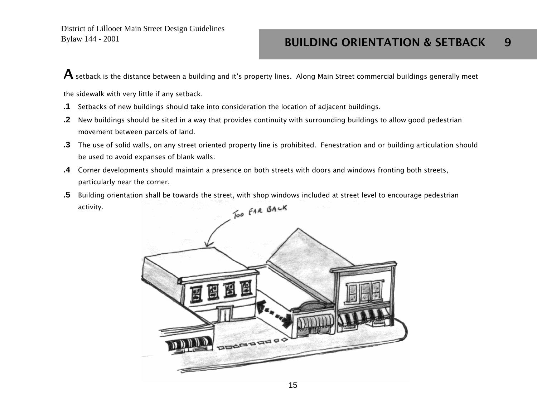${\bf A}$  setback is the distance between a building and it's property lines. Along Main Street commercial buildings generally meet

the sidewalk with very little if any setback.

- **.1** Setbacks of new buildings should take into consideration the location of adjacent buildings.
- **.2** New buildings should be sited in a way that provides continuity with surrounding buildings to allow good pedestrian movement between parcels of land.
- **.3** The use of solid walls, on any street oriented property line is prohibited. Fenestration and or building articulation should be used to avoid expanses of blank walls.
- **.4** Corner developments should maintain a presence on both streets with doors and windows fronting both streets, particularly near the corner.
- **.5** Building orientation shall be towards the street, with shop windows included at street level to encourage pedestrian activity.

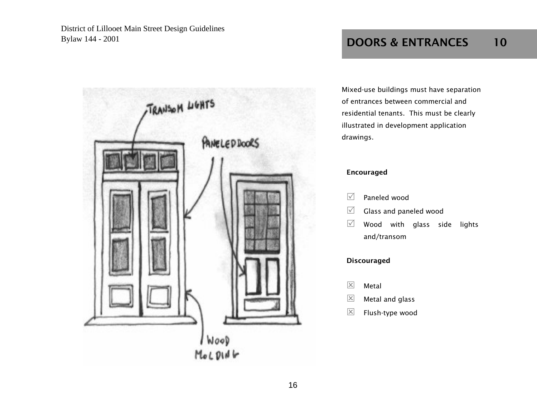

## DOORS & ENTRANCES 10

Mixed-use buildings must have separation of entrances between commercial and residential tenants. This must be clearly illustrated in development application drawings.

#### Encouraged

- $\sqrt{ }$ Paneled wood
- $\sqrt{ }$ Glass and paneled wood
- $\sqrt{ }$  Wood with glass side lights and/transom

- $\boxed{\times}$ Metal
- $\boxed{\mathsf{x}}$ Metal and glass
- $\boxed{\times}$ Flush-type wood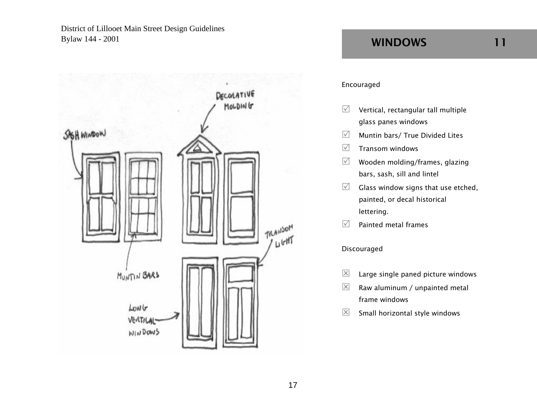

## WINDOWS 11

#### Encouraged

- $\sqrt{ }$  Vertical, rectangular tall multiple glass panes windows
- $\sqrt{ }$ Muntin bars/ True Divided Lites
- $\sqrt{ }$ Transom windows
- $\sqrt{ }$  Wooden molding/frames, glazing bars, sash, sill and lintel
- $\sqrt{ }$  Glass window signs that use etched, painted, or decal historical lettering.
- $\sqrt{ }$ Painted metal frames

- $\overline{\mathsf{x}}$ Large single paned picture windows
- $\boxed{\times}$  Raw aluminum / unpainted metal frame windows
- $\boxed{\times}$ Small horizontal style windows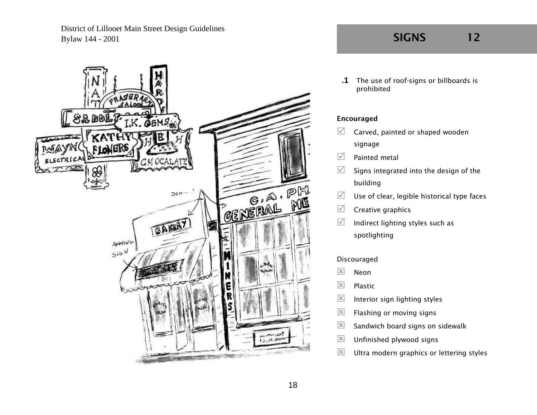

**.1** The use of roof-signs or billboards is prohibited

#### Encouraged

- $\sqrt{ }$  Carved, painted or shaped wooden signage
- $\triangledown$ Painted metal
- $\sqrt{ }$  Signs integrated into the design of the building
- $\sqrt{ }$ Use of clear, legible historical type faces
- $\sqrt{ }$ Creative graphics
- $\sqrt{ }$  Indirect lighting styles such as spotlighting

- $\boxed{\times}$ Neon
- $\boxed{\times}$ Plastic
- $\mathsf{\overline{X}}$ Interior sign lighting styles
- $\boxed{\times}$ Flashing or moving signs
- $\overline{\mathsf{x}}$ Sandwich board signs on sidewalk
- $\boxed{\times}$ Unfinished plywood signs
- $\vert x \vert$ Ultra modern graphics or lettering styles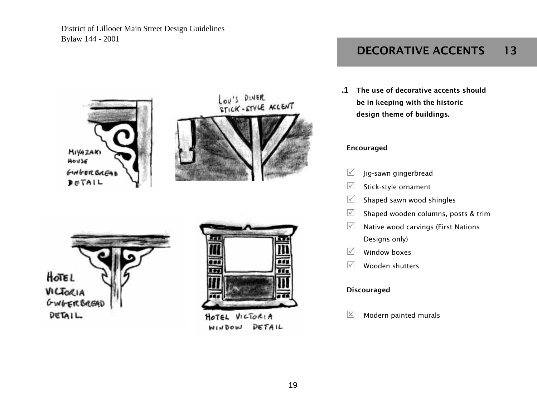

DETAIL WINDOW

## DECORATIVE ACCENTS 13

**.1** The use of decorative accents should be in keeping with the historic design theme of buildings.

#### Encouraged

- $\sqrt{ }$ Jig-sawn gingerbread
- $\sqrt{ }$ Stick-style ornament
- $\sqrt{ }$ Shaped sawn wood shingles
- $\sqrt{}$ Shaped wooden columns, posts & trim
- $\sqrt{ }$  Native wood carvings (First Nations Designs only)
- $\sqrt{ }$ Window boxes
- $\sqrt{}$ Wooden shutters

#### **Discouraged**

 $\vert x \vert$ Modern painted murals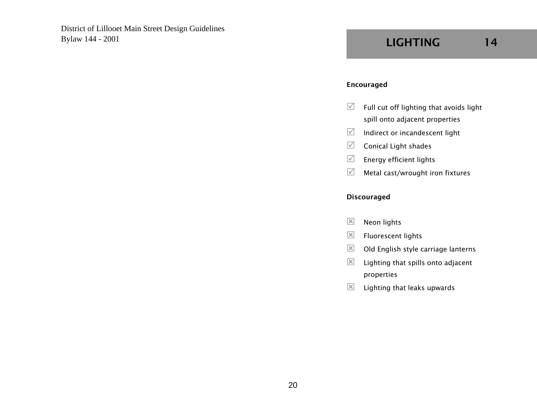#### Encouraged

- $\sqrt{ }$  Full cut off lighting that avoids light spill onto adjacent properties
- $\mathbb{Z}$  Indirect or incandescent light
- $\sqrt{ }$ Conical Light shades
- $\sqrt{ }$ Energy efficient lights
- $\sqrt{ }$ Metal cast/wrought iron fixtures

- $\overline{\mathsf{x}}$ Neon lights
- $\boxed{\times}$ Fluorescent lights
- $\vert x \vert$ Old English style carriage lanterns
- $\boxed{\times}$  Lighting that spills onto adjacent properties
- $\vert x \vert$ Lighting that leaks upwards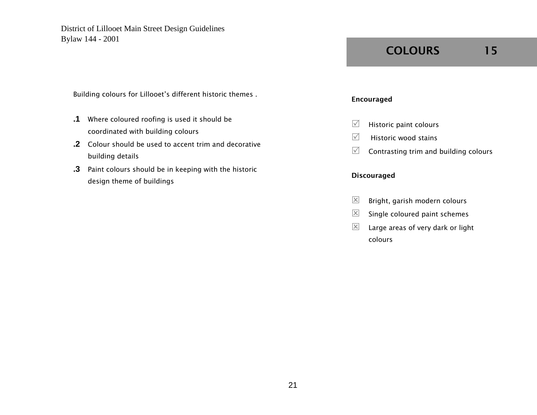Building colours for Lillooet's different historic themes .

- **.1** Where coloured roofing is used it should be coordinated with building colours
- **.2** Colour should be used to accent trim and decorative building details
- **.3** Paint colours should be in keeping with the historic design theme of buildings

## COLOURS 15

#### Encouraged

- $\sqrt{ }$ Historic paint colours
- $\sqrt{5}$  Historic wood stains
- $\sqrt{ }$ Contrasting trim and building colours

- $\boxed{\times}$ Bright, garish modern colours
- $\vert x \vert$ Single coloured paint schemes
- $\boxtimes$  Large areas of very dark or light colours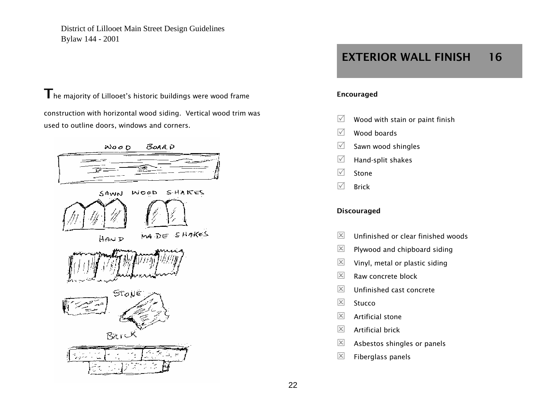$\mathbf T$ he majority of Lillooet's historic buildings were wood frame

construction with horizontal wood siding. Vertical wood trim was used to outline doors, windows and corners.



## EXTERIOR WALL FINISH 16

#### Encouraged

- $\sqrt{ }$ Wood with stain or paint finish
- $\triangledown$ Wood boards
- $\sqrt{ }$ Sawn wood shingles
- $\sqrt{ }$ Hand-split shakes
- $\triangledown$ Stone
- $\sqrt{ }$ Brick

- $\vert x \vert$ Unfinished or clear finished woods
- $\boxed{\times}$ Plywood and chipboard siding
- $\vert x \vert$ Vinyl, metal or plastic siding
- $\vert x \vert$ Raw concrete block
- $\overline{\mathsf{x}}$ Unfinished cast concrete
- $\vert x \vert$ Stucco
- $\overline{\mathsf{x}}$ Artificial stone
- $\overline{\mathsf{x}}$ Artificial brick
- $\boxed{\times}$ Asbestos shingles or panels
- $\boxed{\times}$ Fiberglass panels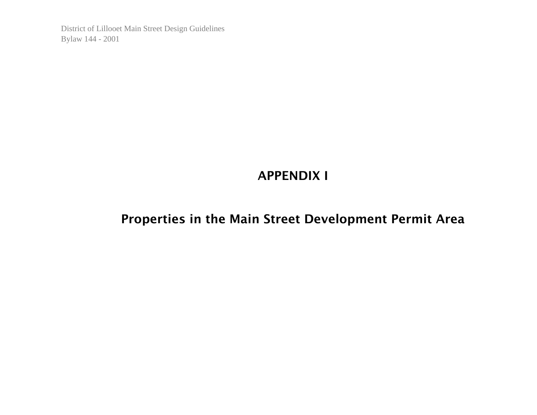## APPENDIX I

## Properties in the Main Street Development Permit Area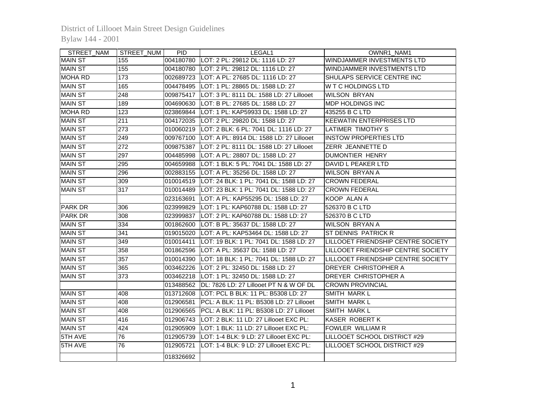| STREET_NAM     | STREET_NUM       | <b>PID</b> | LEGAL1                                               | OWNR1_NAM1                                |
|----------------|------------------|------------|------------------------------------------------------|-------------------------------------------|
| <b>MAIN ST</b> | 155              |            | 004180780 LOT: 2 PL: 29812 DL: 1116 LD: 27           | WINDJAMMER INVESTMENTS LTD                |
| <b>MAIN ST</b> | 155              |            | 004180780 LOT: 2 PL: 29812 DL: 1116 LD: 27           | WINDJAMMER INVESTMENTS LTD                |
| <b>MOHA RD</b> | $\frac{1}{173}$  | 002689723  | LOT: A PL: 27685 DL: 1116 LD: 27                     | SHULAPS SERVICE CENTRE INC                |
| <b>MAIN ST</b> | 165              | 004478495  | LOT: 1 PL: 28865 DL: 1588 LD: 27                     | W T C HOLDINGS LTD                        |
| <b>MAIN ST</b> | $\overline{248}$ | 009875417  | LOT: 3 PL: 8111 DL: 1588 LD: 27 Lillooet             | <b>WILSON BRYAN</b>                       |
| <b>MAIN ST</b> | 189              | 004690630  | LOT: B PL: 27685 DL: 1588 LD: 27                     | <b>MDP HOLDINGS INC</b>                   |
| <b>MOHA RD</b> | 123              | 023869844  | LOT: 1 PL: KAP59933 DL: 1588 LD: 27                  | 435255 B C LTD                            |
| <b>MAIN ST</b> | 211              |            | 004172035  LOT: 2 PL: 29820 DL: 1588 LD: 27          | IKEEWATIN ENTERPRISES LTD                 |
| <b>MAIN ST</b> | 273              |            | 010060219  LOT: 2 BLK: 6 PL: 7041 DL: 1116 LD: 27    | LATIMER TIMOTHY S                         |
| <b>MAIN ST</b> | 249              |            | 009767100   LOT: A PL: 8914 DL: 1588 LD: 27 Lillooet | <b>INSTOW PROPERTIES LTD</b>              |
| <b>MAIN ST</b> | $\overline{272}$ |            | 009875387  LOT: 2 PL: 8111 DL: 1588 LD: 27 Lillooet  | <b>ZERR JEANNETTE D</b>                   |
| <b>MAIN ST</b> | 297              |            | 004485998  LOT: A PL: 28807 DL: 1588 LD: 27          | <b>DUMONTIER HENRY</b>                    |
| <b>MAIN ST</b> | 295              |            | 004659988  LOT: 1 BLK: 5 PL: 7041 DL: 1588 LD: 27    | DAVID L PEAKER LTD                        |
| <b>MAIN ST</b> | 296              |            | 002883155  LOT: A PL: 35256 DL: 1588 LD: 27          | <b>WILSON BRYAN A</b>                     |
| <b>MAIN ST</b> | 309              |            | 010014519  LOT: 24 BLK: 1 PL: 7041 DL: 1588 LD: 27   | <b>ICROWN FEDERAL</b>                     |
| <b>MAIN ST</b> | 317              | 010014489  | LOT: 23 BLK: 1 PL: 7041 DL: 1588 LD: 27              | ICROWN FEDERAL                            |
|                |                  | 023163691  | lLOT: A PL: KAP55295 DL: 1588 LD: 27                 | KOOP ALAN A                               |
| <b>PARK DR</b> | 306              | 023999829  | LOT: 1 PL: KAP60788 DL: 1588 LD: 27                  | 526370 B C LTD                            |
| <b>PARK DR</b> | 308              | 023999837  | LOT: 2 PL: KAP60788 DL: 1588 LD: 27                  | 526370 B C LTD                            |
| <b>MAIN ST</b> | 334              | 001862600  | LOT: B PL: 35637 DL: 1588 LD: 27                     | <b>WILSON BRYAN A</b>                     |
| <b>MAIN ST</b> | $\overline{341}$ | 019015020  | LOT: A PL: KAP53464 DL: 1588 LD: 27                  | <b>ST DENNIS PATRICK R</b>                |
| <b>MAIN ST</b> | 349              | 010014411  | LOT: 19 BLK: 1 PL: 7041 DL: 1588 LD: 27              | LILLOOET FRIENDSHIP CENTRE SOCIETY        |
| <b>MAIN ST</b> | 358              | 001862596  | LOT: A PL: 35637 DL: 1588 LD: 27                     | LILLOOET FRIENDSHIP CENTRE SOCIETY        |
| <b>MAIN ST</b> | 357              | 010014390  | LOT: 18 BLK: 1 PL: 7041 DL: 1588 LD: 27              | <b>LILLOOET FRIENDSHIP CENTRE SOCIETY</b> |
| <b>MAIN ST</b> | 365              | 003462226  | LOT: 2 PL: 32450 DL: 1588 LD: 27                     | DREYER CHRISTOPHER A                      |
| <b>MAIN ST</b> | 373              |            | 003462218  LOT: 1 PL: 32450 DL: 1588 LD: 27          | DREYER CHRISTOPHER A                      |
|                |                  | 013488562  | DL: 7826 LD: 27 Lillooet PT N & W OF DL              | <b>CROWN PROVINCIAL</b>                   |
| <b>MAIN ST</b> | 408              |            | 013712608  LOT: PCL B BLK: 11 PL: B5308 LD: 27       | SMITH MARK L                              |
| <b>MAIN ST</b> | 408              | 012906581  | PCL: A BLK: 11 PL: B5308 LD: 27 Lillooet             | <b>SMITH MARK L</b>                       |
| <b>MAIN ST</b> | 408              |            | 012906565 PCL: A BLK: 11 PL: B5308 LD: 27 Lillooet   | <b>SMITH MARK L</b>                       |
| <b>MAIN ST</b> | 416              |            | 012906743  LOT: 2 BLK: 11 LD: 27 Lillooet EXC PL:    | KASER ROBERT K                            |
| <b>MAIN ST</b> | 424              | 012905909  | LOT: 1 BLK: 11 LD: 27 Lillooet EXC PL:               | FOWLER WILLIAM R                          |
| 5TH AVE        | $\overline{76}$  | 012905739  | LOT: 1-4 BLK: 9 LD: 27 Lillooet EXC PL:              | LILLOOET SCHOOL DISTRICT #29              |
| 5TH AVE        | 76               | 012905721  | LOT: 1-4 BLK: 9 LD: 27 Lillooet EXC PL:              | LILLOOET SCHOOL DISTRICT #29              |
|                |                  | 018326692  |                                                      |                                           |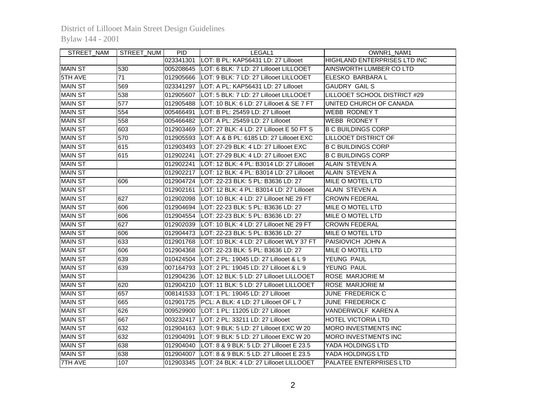| STREET_NAM     | STREET_NUM      | PID.      | LEGAL1                                              | OWNR1_NAM1                     |
|----------------|-----------------|-----------|-----------------------------------------------------|--------------------------------|
|                |                 |           | 023341301 LOT: B PL: KAP56431 LD: 27 Lillooet       | HIGHLAND ENTERPRISES LTD INC   |
| <b>MAIN ST</b> | 530             |           | 005208645  LOT: 6 BLK: 7 LD: 27 Lillooet LILLOOET   | IAINSWORTH LUMBER CO LTD       |
| 5TH AVE        | $\overline{71}$ |           | 012905666  LOT: 9 BLK: 7 LD: 27 Lillooet LILLOOET   | ELESKO BARBARA L               |
| <b>MAIN ST</b> | 569             |           | 023341297 LOT: A PL: KAP56431 LD: 27 Lillooet       | <b>GAUDRY GAIL S</b>           |
| <b>MAIN ST</b> | 538             | 012905607 | LOT: 5 BLK: 7 LD: 27 Lillooet LILLOOET              | LILLOOET SCHOOL DISTRICT #29   |
| <b>MAIN ST</b> | 577             | 012905488 | LOT: 10 BLK: 6 LD: 27 Lillooet & SE 7 FT            | UNITED CHURCH OF CANADA        |
| <b>MAIN ST</b> | 554             | 005466491 | LOT: B PL: 25459 LD: 27 Lillooet                    | WEBB RODNEY T                  |
| <b>MAIN ST</b> | 558             | 005466482 | LOT: A PL: 25459 LD: 27 Lillooet                    | WEBB RODNEY T                  |
| <b>MAIN ST</b> | 603             | 012903469 | LOT: 27 BLK: 4 LD: 27 Lillooet E 50 FT S            | IB C BUILDINGS CORP            |
| <b>MAIN ST</b> | 570             | 012905593 | LOT: A & B PL: 6185 LD: 27 Lillooet EXC             | <b>LILLOOET DISTRICT OF</b>    |
| <b>MAIN ST</b> | 615             | 012903493 | LOT: 27-29 BLK: 4 LD: 27 Lillooet EXC               | <b>B C BUILDINGS CORP</b>      |
| <b>MAIN ST</b> | 615             | 012902241 | LOT: 27-29 BLK: 4 LD: 27 Lillooet EXC               | <b>B C BUILDINGS CORP</b>      |
| <b>MAIN ST</b> |                 | 012902241 | LOT: 12 BLK: 4 PL: B3014 LD: 27 Lillooet            | <b>ALAIN STEVEN A</b>          |
| <b>MAIN ST</b> |                 | 012902217 | LOT: 12 BLK: 4 PL: B3014 LD: 27 Lillooet            | <b>ALAIN STEVEN A</b>          |
| <b>MAIN ST</b> | 606             | 012904724 | LOT: 22-23 BLK: 5 PL: B3636 LD: 27                  | MILE O MOTEL LTD               |
| <b>MAIN ST</b> |                 | 012902161 | LOT: 12 BLK: 4 PL: B3014 LD: 27 Lillooet            | ALAIN STEVEN A                 |
| <b>MAIN ST</b> | 627             |           | 012902098  LOT: 10 BLK: 4 LD: 27 Lillooet NE 29 FT  | <b>CROWN FEDERAL</b>           |
| <b>MAIN ST</b> | 606             |           | 012904694 ILOT: 22-23 BLK: 5 PL: B3636 LD: 27       | IMILE O MOTEL LTD              |
| <b>MAIN ST</b> | 606             |           | 012904554  LOT: 22-23 BLK: 5 PL: B3636 LD: 27       | MILE O MOTEL LTD               |
| <b>MAIN ST</b> | 627             | 012902039 | LOT: 10 BLK: 4 LD: 27 Lillooet NE 29 FT             | <b>CROWN FEDERAL</b>           |
| <b>MAIN ST</b> | 606             | 012904473 | LOT: 22-23 BLK: 5 PL: B3636 LD: 27                  | MILE O MOTEL LTD               |
| <b>MAIN ST</b> | 633             |           | 012901768  LOT: 10 BLK: 4 LD: 27 Lillooet WLY 37 FT | PAISIOVICH JOHN A              |
| <b>MAIN ST</b> | 606             | 012904368 | LOT: 22-23 BLK: 5 PL: B3636 LD: 27                  | MILE O MOTEL LTD               |
| <b>MAIN ST</b> | 639             |           | 010424504   LOT: 2 PL: 19045 LD: 27 Lillooet & L 9  | YEUNG PAUL                     |
| <b>MAIN ST</b> | 639             |           | 007164793  LOT: 2 PL: 19045 LD: 27 Lillooet & L 9   | YEUNG PAUL                     |
| <b>MAIN ST</b> |                 |           | 012904236  LOT: 12 BLK: 5 LD: 27 Lillooet LILLOOET  | <b>ROSE MARJORIE M</b>         |
| <b>MAIN ST</b> | 620             |           | 012904210 LOT: 11 BLK: 5 LD: 27 Lillooet LILLOOET   | <b>ROSE MARJORIE M</b>         |
| <b>MAIN ST</b> | 657             |           | 008141533   LOT: 1 PL: 19045 LD: 27 Lillooet        | JUNE FREDERICK C               |
| <b>MAIN ST</b> | 665             |           | 012901725 PCL: A BLK: 4 LD: 27 Lillooet OF L 7      | <b>JUNE FREDERICK C</b>        |
| <b>MAIN ST</b> | 626             |           | 009529900  LOT: 1 PL: 11205 LD: 27 Lillooet         | VANDERWOLF KAREN A             |
| <b>MAIN ST</b> | 667             |           | 003232417   LOT: 2 PL: 33211 LD: 27 Lillooet        | <b>HOTEL VICTORIA LTD</b>      |
| <b>MAIN ST</b> | 632             |           | 012904163  LOT: 9 BLK: 5 LD: 27 Lillooet EXC W 20   | MORO INVESTMENTS INC           |
| <b>MAIN ST</b> | 632             |           | 012904091  LOT: 9 BLK: 5 LD: 27 Lillooet EXC W 20   | MORO INVESTMENTS INC           |
| <b>MAIN ST</b> | 638             |           | 012904040  LOT: 8 & 9 BLK: 5 LD: 27 Lillooet E 23.5 | YADA HOLDINGS LTD              |
| <b>MAIN ST</b> | 638             |           | 012904007 LOT: 8 & 9 BLK: 5 LD: 27 Lillooet E 23.5  | YADA HOLDINGS LTD              |
| <b>7TH AVE</b> | 107             |           | 012903345  LOT: 24 BLK: 4 LD: 27 Lillooet LILLOOET  | <b>PALATEE ENTERPRISES LTD</b> |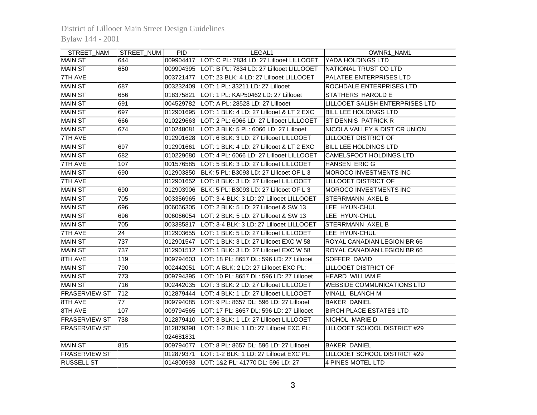| STREET_NAM           | STREET_NUM      | <b>PID</b> | LEGAL1                                              | OWNR1_NAM1                        |
|----------------------|-----------------|------------|-----------------------------------------------------|-----------------------------------|
| <b>MAIN ST</b>       | 644             |            | 009904417  LOT: C PL: 7834 LD: 27 Lillooet LILLOOET | YADA HOLDINGS LTD                 |
| <b>MAIN ST</b>       | 650             |            | 009904395  LOT: B PL: 7834 LD: 27 Lillooet LILLOOET | NATIONAL TRUST CO LTD             |
| 7TH AVE              |                 |            | 003721477  LOT: 23 BLK: 4 LD: 27 Lillooet LILLOOET  | PALATEE ENTERPRISES LTD           |
| <b>MAIN ST</b>       | 687             | 003232409  | LOT: 1 PL: 33211 LD: 27 Lillooet                    | ROCHDALE ENTERPRISES LTD          |
| <b>MAIN ST</b>       | 656             | 018375821  | LOT: 1 PL: KAP50462 LD: 27 Lillooet                 | STATHERS HAROLD E                 |
| <b>MAIN ST</b>       | 691             |            | 004529782 LOT: A PL: 28528 LD: 27 Lillooet          | LILLOOET SALISH ENTERPRISES LTD   |
| <b>MAIN ST</b>       | 697             |            | 012901695 LOT: 1 BLK: 4 LD: 27 Lillooet & LT 2 EXC  | <b>BILL LEE HOLDINGS LTD</b>      |
| <b>MAIN ST</b>       | 666             |            | 010229663 LOT: 2 PL: 6066 LD: 27 Lillooet LILLOOET  | ST DENNIS PATRICK R               |
| <b>MAIN ST</b>       | 674             |            | 010248081  LOT: 3 BLK: 5 PL: 6066 LD: 27 Lillooet   | NICOLA VALLEY & DIST CR UNION     |
| 7TH AVE              |                 |            | 012901628 LOT: 6 BLK: 3 LD: 27 Lillooet LILLOOET    | <b>LILLOOET DISTRICT OF</b>       |
| <b>MAIN ST</b>       | 697             | 012901661  | LOT: 1 BLK: 4 LD: 27 Lillooet & LT 2 EXC            | <b>BILL LEE HOLDINGS LTD</b>      |
| <b>MAIN ST</b>       | 682             | 010229680  | LOT: 4 PL: 6066 LD: 27 Lillooet LILLOOET            | CAMELSFOOT HOLDINGS LTD           |
| <b>7TH AVE</b>       | 107             |            | 001576585  LOT: 5 BLK: 3 LD: 27 Lillooet LILLOOET   | HANSEN ERIC G                     |
| <b>MAIN ST</b>       | 690             |            | 012903850 BLK: 5 PL: B3093 LD: 27 Lillooet OF L 3   | MOROCO INVESTMENTS INC            |
| 7TH AVE              |                 |            | 012901652  LOT: 8 BLK: 3 LD: 27 Lillooet LILLOOET   | <b>LILLOOET DISTRICT OF</b>       |
| <b>MAIN ST</b>       | 690             |            | 012903906 BLK: 5 PL: B3093 LD: 27 Lillooet OF L 3   | MOROCO INVESTMENTS INC            |
| <b>MAIN ST</b>       | 705             | 003356965  | LOT: 3-4 BLK: 3 LD: 27 Lillooet LILLOOET            | STERRMANN AXEL B                  |
| <b>MAIN ST</b>       | 696             | 006066305  | LOT: 2 BLK: 5 LD: 27 Lillooet & SW 13               | LEE HYUN-CHUL                     |
| <b>MAIN ST</b>       | 696             | 006066054  | LOT: 2 BLK: 5 LD: 27 Lillooet & SW 13               | LEE HYUN-CHUL                     |
| <b>MAIN ST</b>       | 705             | 003385817  | LOT: 3-4 BLK: 3 LD: 27 Lillooet LILLOOET            | <b>STERRMANN AXEL B</b>           |
| <b>7TH AVE</b>       | $\overline{24}$ | 012903655  | LOT: 1 BLK: 5 LD: 27 Lillooet LILLOOET              | <b>LEE HYUN-CHUL</b>              |
| <b>MAIN ST</b>       | 737             | 012901547  | LOT: 1 BLK: 3 LD: 27 Lillooet EXC W 58              | ROYAL CANADIAN LEGION BR 66       |
| <b>MAIN ST</b>       | 737             |            | 012901512  LOT: 1 BLK: 3 LD: 27 Lillooet EXC W 58   | ROYAL CANADIAN LEGION BR 66       |
| 8TH AVE              | 119             |            | 009794603  LOT: 18 PL: 8657 DL: 596 LD: 27 Lillooet | SOFFER DAVID                      |
| <b>MAIN ST</b>       | 790             | 002442051  | LOT: A BLK: 2 LD: 27 Lillooet EXC PL:               | <b>LILLOOET DISTRICT OF</b>       |
| <b>MAIN ST</b>       | 773             |            | 009794395  LOT: 10 PL: 8657 DL: 596 LD: 27 Lillooet | <b>HEARD WILLIAM E</b>            |
| <b>MAIN ST</b>       | 716             | 002442035  | LOT: 3 BLK: 2 LD: 27 Lillooet LILLOOET              | <b>WEBSIDE COMMUNICATIONS LTD</b> |
| <b>FRASERVIEW ST</b> | 712             |            | 012879444  LOT: 4 BLK: 1 LD: 27 Lillooet LILLOOET   | VINALL BLANCH M                   |
| 8TH AVE              | 77              | 009794085  | LOT: 9 PL: 8657 DL: 596 LD: 27 Lillooet             | <b>BAKER DANIEL</b>               |
| 8TH AVE              | 107             | 009794565  | LOT: 17 PL: 8657 DL: 596 LD: 27 Lillooet            | <b>BIRCH PLACE ESTATES LTD</b>    |
| <b>FRASERVIEW ST</b> | 738             | 012879410  | LOT: 3 BLK: 1 LD: 27 Lillooet LILLOOET              | NICHOL MARIE D                    |
| <b>FRASERVIEW ST</b> |                 | 012879398  | LOT: 1-2 BLK: 1 LD: 27 Lillooet EXC PL:             | LILLOOET SCHOOL DISTRICT #29      |
|                      |                 | 024681831  |                                                     |                                   |
| <b>MAIN ST</b>       | 815             |            | 009794077  LOT: 8 PL: 8657 DL: 596 LD: 27 Lillooet  | <b>BAKER DANIEL</b>               |
| <b>FRASERVIEW ST</b> |                 | 012879371  | LOT: 1-2 BLK: 1 LD: 27 Lillooet EXC PL:             | LILLOOET SCHOOL DISTRICT #29      |
| <b>RUSSELL ST</b>    |                 |            | 014800993 LOT: 1&2 PL: 41770 DL: 596 LD: 27         | 4 PINES MOTEL LTD                 |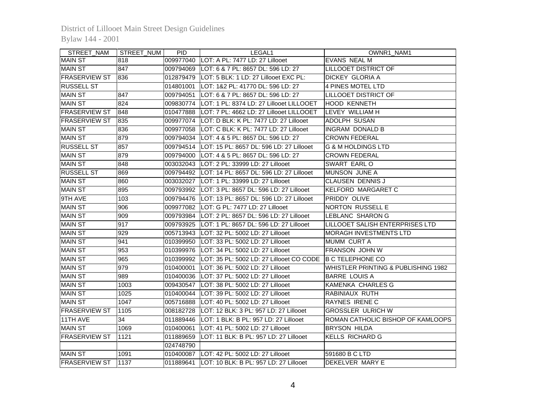| STREET_NAM           | STREET_NUM       | <b>PID</b> | LEGAL1                                                              | OWNR1_NAM1                                     |
|----------------------|------------------|------------|---------------------------------------------------------------------|------------------------------------------------|
| <b>MAIN ST</b>       | 818              |            | 009977040  LOT: A PL: 7477 LD: 27 Lillooet                          | <b>EVANS NEAL M</b>                            |
| <b>MAIN ST</b>       | 847              |            | 009794069   LOT: 6 & 7 PL: 8657 DL: 596 LD: 27                      | <b>LILLOOET DISTRICT OF</b>                    |
| <b>FRASERVIEW ST</b> | 836              |            | 012879479   LOT: 5 BLK: 1 LD: 27 Lillooet EXC PL:                   | <b>DICKEY GLORIA A</b>                         |
| <b>RUSSELL ST</b>    |                  | 014801001  | LOT: 1&2 PL: 41770 DL: 596 LD: 27                                   | 4 PINES MOTEL LTD                              |
| <b>MAIN ST</b>       | 847              | 009794051  | LOT: 6 & 7 PL: 8657 DL: 596 LD: 27                                  | <b>LILLOOET DISTRICT OF</b>                    |
| <b>MAIN ST</b>       | 824              | 009830774  | LOT: 1 PL: 8374 LD: 27 Lillooet LILLOOET                            | <b>HOOD KENNETH</b>                            |
| <b>FRASERVIEW ST</b> | 848              | 010477888  | LOT: 7 PL: 4662 LD: 27 Lillooet LILLOOET                            | LEVEY WILLIAM H                                |
| <b>FRASERVIEW ST</b> | 835              | 009977074  | LOT: D BLK: K PL: 7477 LD: 27 Lillooet                              | ADOLPH SUSAN                                   |
| <b>MAIN ST</b>       | 836              | 009977058  | LOT: C BLK: K PL: 7477 LD: 27 Lillooet                              | <b>INGRAM DONALD B</b>                         |
| <b>MAIN ST</b>       | 879              | 009794034  | LOT: 4 & 5 PL: 8657 DL: 596 LD: 27                                  | <b>CROWN FEDERAL</b>                           |
| <b>RUSSELL ST</b>    | 857              | 009794514  | LOT: 15 PL: 8657 DL: 596 LD: 27 Lillooet                            | <b>G &amp; M HOLDINGS LTD</b>                  |
| <b>MAIN ST</b>       | 879              | 009794000  | lLOT: 4 & 5 PL: 8657 DL: 596 LD: 27                                 | <b>CROWN FEDERAL</b>                           |
| <b>MAIN ST</b>       | 848              | 003032043  | LOT: 2 PL: 33999 LD: 27 Lillooet                                    | SWART EARL O                                   |
| <b>RUSSELL ST</b>    | 869              | 009794492  | LOT: 14 PL: 8657 DL: 596 LD: 27 Lillooet                            | MUNSON JUNE A                                  |
| <b>MAIN ST</b>       | 860              | 003032027  | LOT: 1 PL: 33999 LD: 27 Lillooet                                    | <b>CLAUSEN DENNIS J</b>                        |
| <b>MAIN ST</b>       | 895              |            | 009793992  LOT: 3 PL: 8657 DL: 596 LD: 27 Lillooet                  | KELFORD MARGARET C                             |
| 9TH AVE              | 103              |            | 009794476   LOT: 13 PL: 8657 DL: 596 LD: 27 Lillooet                | PRIDDY OLIVE                                   |
| <b>MAIN ST</b>       | 906              |            | 009977082 LOT: G PL: 7477 LD: 27 Lillooet                           | NORTON RUSSELL E                               |
| <b>MAIN ST</b>       | 909              |            | 009793984   LOT: 2 PL: 8657 DL: 596 LD: 27 Lillooet                 | LEBLANC SHARON G                               |
| <b>MAIN ST</b>       | 917              | 009793925  | LOT: 1 PL: 8657 DL: 596 LD: 27 Lillooet                             | LILLOOET SALISH ENTERPRISES LTD                |
| <b>MAIN ST</b>       | 929              | 005713943  | LOT: 32 PL: 5002 LD: 27 Lillooet                                    | <b>MORAGH INVESTMENTS LTD</b>                  |
| <b>MAIN ST</b>       | 941              | 010399950  | LOT: 33 PL: 5002 LD: 27 Lillooet                                    | <b>MUMM CURT A</b>                             |
| <b>MAIN ST</b>       | 953              |            | 010399976 LOT: 34 PL: 5002 LD: 27 Lillooet                          | <b>FRANSON JOHN W</b>                          |
| <b>MAIN ST</b>       | 965              |            | 010399992 LOT: 35 PL: 5002 LD: 27 Lillooet CO CODE B C TELEPHONE CO |                                                |
| <b>MAIN ST</b>       | $\overline{979}$ | 010400001  | LOT: 36 PL: 5002 LD: 27 Lillooet                                    | <b>WHISTLER PRINTING &amp; PUBLISHING 1982</b> |
| <b>MAIN ST</b>       | 989              |            | 010400036  LOT: 37 PL: 5002 LD: 27 Lillooet                         | <b>BARRE LOUIS A</b>                           |
| <b>MAIN ST</b>       | 1003             |            | 009430547  LOT: 38 PL: 5002 LD: 27 Lillooet                         | <b>KAMENKA CHARLES G</b>                       |
| <b>MAIN ST</b>       | 1025             |            | 010400044   LOT: 39 PL: 5002 LD: 27 Lillooet                        | RABINIAUX RUTH                                 |
| <b>MAIN ST</b>       | 1047             |            | 005716888  LOT: 40 PL: 5002 LD: 27 Lillooet                         | RAYNES IRENE C                                 |
| <b>FRASERVIEW ST</b> | 1105             |            | 008182728  LOT: 12 BLK: 3 PL: 957 LD: 27 Lillooet                   | <b>GROSSLER ULRICH W</b>                       |
| 11TH AVE             | $\overline{34}$  |            | 011889446  LOT: 1 BLK: B PL: 957 LD: 27 Lillooet                    | ROMAN CATHOLIC BISHOP OF KAMLOOPS              |
| <b>MAIN ST</b>       | 1069             |            | 010400061  LOT: 41 PL: 5002 LD: 27 Lillooet                         | <b>BRYSON HILDA</b>                            |
| <b>FRASERVIEW ST</b> | 1121             | 011889659  | LOT: 11 BLK: B PL: 957 LD: 27 Lillooet                              | <b>KELLS RICHARD G</b>                         |
|                      |                  | 024748790  |                                                                     |                                                |
| <b>MAIN ST</b>       | 1091             |            | 010400087   LOT: 42 PL: 5002 LD: 27 Lillooet                        | 591680 B C LTD                                 |
| <b>FRASERVIEW ST</b> | 1137             |            | 011889641 LOT: 10 BLK: B PL: 957 LD: 27 Lillooet                    | DEKELVER MARY E                                |